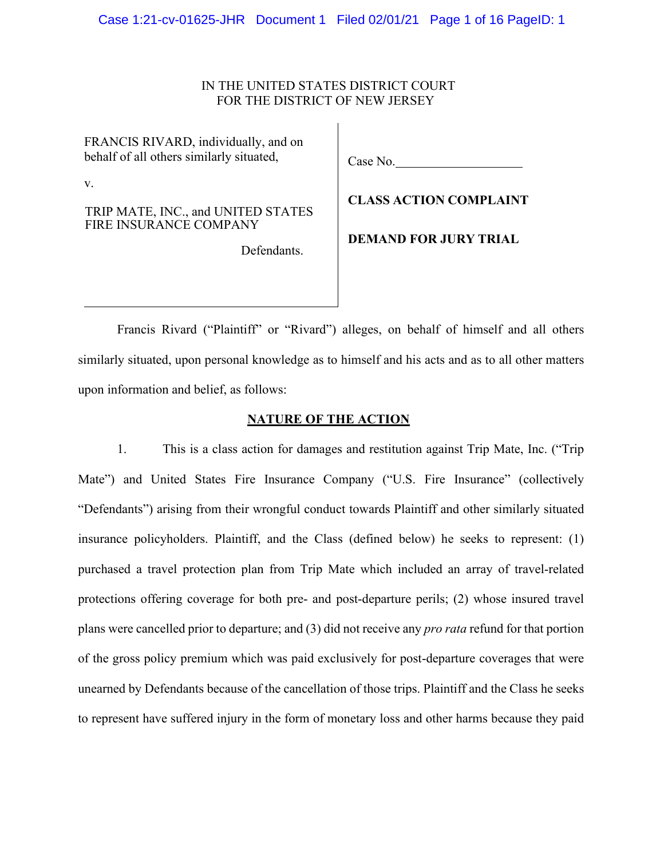# IN THE UNITED STATES DISTRICT COURT FOR THE DISTRICT OF NEW JERSEY

FRANCIS RIVARD, individually, and on behalf of all others similarly situated,

v.

TRIP MATE, INC., and UNITED STATES FIRE INSURANCE COMPANY

Defendants.

Case No.

**CLASS ACTION COMPLAINT**

**DEMAND FOR JURY TRIAL**

Francis Rivard ("Plaintiff" or "Rivard") alleges, on behalf of himself and all others similarly situated, upon personal knowledge as to himself and his acts and as to all other matters upon information and belief, as follows:

# **NATURE OF THE ACTION**

1. This is a class action for damages and restitution against Trip Mate, Inc. ("Trip Mate") and United States Fire Insurance Company ("U.S. Fire Insurance" (collectively "Defendants") arising from their wrongful conduct towards Plaintiff and other similarly situated insurance policyholders. Plaintiff, and the Class (defined below) he seeks to represent: (1) purchased a travel protection plan from Trip Mate which included an array of travel-related protections offering coverage for both pre- and post-departure perils; (2) whose insured travel plans were cancelled prior to departure; and (3) did not receive any *pro rata* refund for that portion of the gross policy premium which was paid exclusively for post-departure coverages that were unearned by Defendants because of the cancellation of those trips. Plaintiff and the Class he seeks to represent have suffered injury in the form of monetary loss and other harms because they paid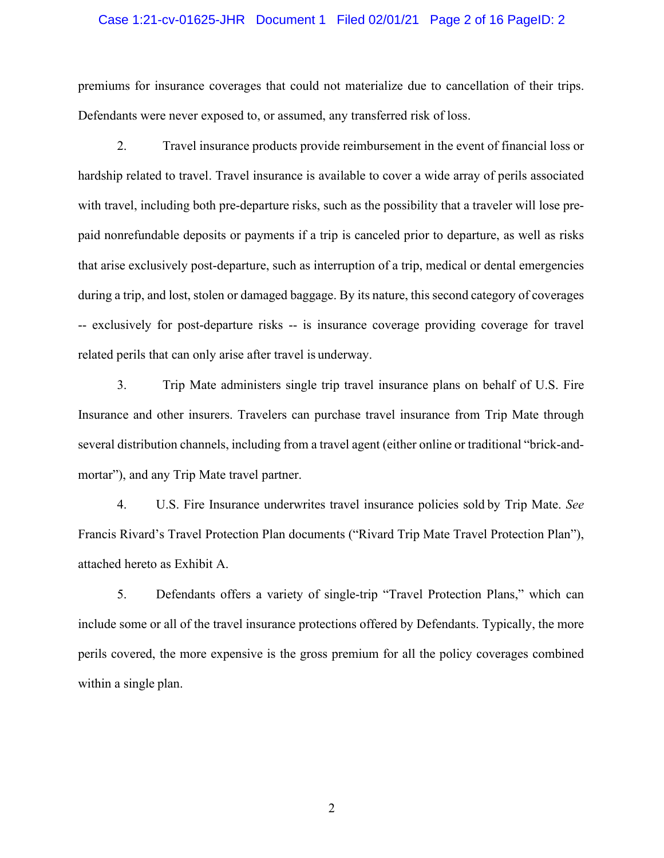### Case 1:21-cv-01625-JHR Document 1 Filed 02/01/21 Page 2 of 16 PageID: 2

premiums for insurance coverages that could not materialize due to cancellation of their trips. Defendants were never exposed to, or assumed, any transferred risk of loss.

2. Travel insurance products provide reimbursement in the event of financial loss or hardship related to travel. Travel insurance is available to cover a wide array of perils associated with travel, including both pre-departure risks, such as the possibility that a traveler will lose prepaid nonrefundable deposits or payments if a trip is canceled prior to departure, as well as risks that arise exclusively post-departure, such as interruption of a trip, medical or dental emergencies during a trip, and lost, stolen or damaged baggage. By its nature, this second category of coverages -- exclusively for post-departure risks -- is insurance coverage providing coverage for travel related perils that can only arise after travel is underway.

3. Trip Mate administers single trip travel insurance plans on behalf of U.S. Fire Insurance and other insurers. Travelers can purchase travel insurance from Trip Mate through several distribution channels, including from a travel agent (either online or traditional "brick-andmortar"), and any Trip Mate travel partner.

4. U.S. Fire Insurance underwrites travel insurance policies sold by Trip Mate. *See* Francis Rivard's Travel Protection Plan documents ("Rivard Trip Mate Travel Protection Plan"), attached hereto as Exhibit A.

5. Defendants offers a variety of single-trip "Travel Protection Plans," which can include some or all of the travel insurance protections offered by Defendants. Typically, the more perils covered, the more expensive is the gross premium for all the policy coverages combined within a single plan.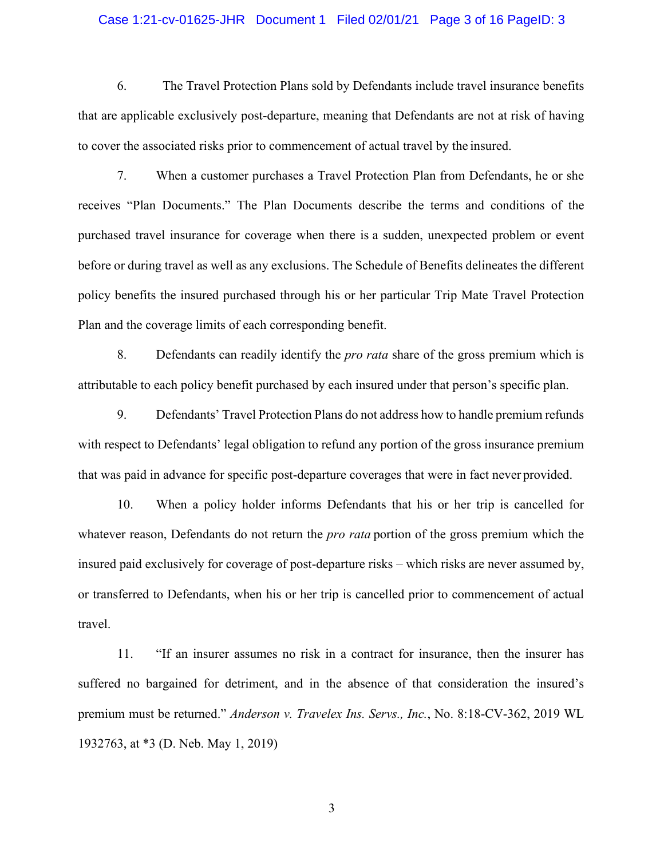# Case 1:21-cv-01625-JHR Document 1 Filed 02/01/21 Page 3 of 16 PageID: 3

6. The Travel Protection Plans sold by Defendants include travel insurance benefits that are applicable exclusively post-departure, meaning that Defendants are not at risk of having to cover the associated risks prior to commencement of actual travel by the insured.

7. When a customer purchases a Travel Protection Plan from Defendants, he or she receives "Plan Documents." The Plan Documents describe the terms and conditions of the purchased travel insurance for coverage when there is a sudden, unexpected problem or event before or during travel as well as any exclusions. The Schedule of Benefits delineates the different policy benefits the insured purchased through his or her particular Trip Mate Travel Protection Plan and the coverage limits of each corresponding benefit.

8. Defendants can readily identify the *pro rata* share of the gross premium which is attributable to each policy benefit purchased by each insured under that person's specific plan.

9. Defendants' Travel Protection Plans do not address how to handle premium refunds with respect to Defendants' legal obligation to refund any portion of the gross insurance premium that was paid in advance for specific post-departure coverages that were in fact never provided.

10. When a policy holder informs Defendants that his or her trip is cancelled for whatever reason, Defendants do not return the *pro rata* portion of the gross premium which the insured paid exclusively for coverage of post-departure risks – which risks are never assumed by, or transferred to Defendants, when his or her trip is cancelled prior to commencement of actual travel.

11. "If an insurer assumes no risk in a contract for insurance, then the insurer has suffered no bargained for detriment, and in the absence of that consideration the insured's premium must be returned." *Anderson v. Travelex Ins. Servs., Inc.*, No. 8:18-CV-362, 2019 WL 1932763, at \*3 (D. Neb. May 1, 2019)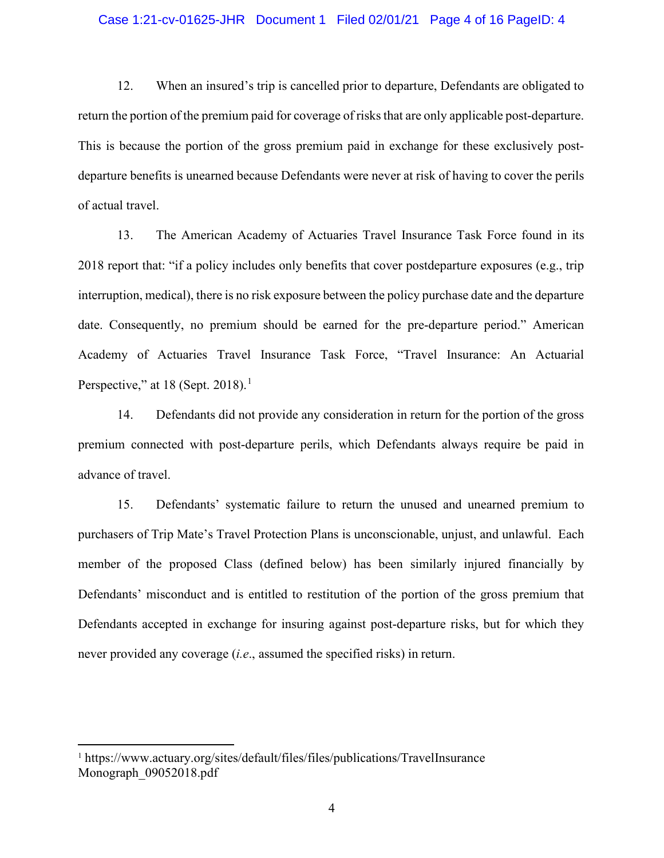## Case 1:21-cv-01625-JHR Document 1 Filed 02/01/21 Page 4 of 16 PageID: 4

12. When an insured's trip is cancelled prior to departure, Defendants are obligated to return the portion of the premium paid for coverage of risks that are only applicable post-departure. This is because the portion of the gross premium paid in exchange for these exclusively postdeparture benefits is unearned because Defendants were never at risk of having to cover the perils of actual travel.

13. The American Academy of Actuaries Travel Insurance Task Force found in its 2018 report that: "if a policy includes only benefits that cover postdeparture exposures (e.g., trip interruption, medical), there is no risk exposure between the policy purchase date and the departure date. Consequently, no premium should be earned for the pre-departure period." American Academy of Actuaries Travel Insurance Task Force, "Travel Insurance: An Actuarial Perspective," at [1](#page-3-0)8 (Sept. 2018).<sup>1</sup>

14. Defendants did not provide any consideration in return for the portion of the gross premium connected with post-departure perils, which Defendants always require be paid in advance of travel.

15. Defendants' systematic failure to return the unused and unearned premium to purchasers of Trip Mate's Travel Protection Plans is unconscionable, unjust, and unlawful. Each member of the proposed Class (defined below) has been similarly injured financially by Defendants' misconduct and is entitled to restitution of the portion of the gross premium that Defendants accepted in exchange for insuring against post-departure risks, but for which they never provided any coverage (*i.e*., assumed the specified risks) in return.

<span id="page-3-0"></span><sup>1</sup> https://www.actuary.org/sites/default/files/files/publications/TravelInsurance Monograph\_09052018.pdf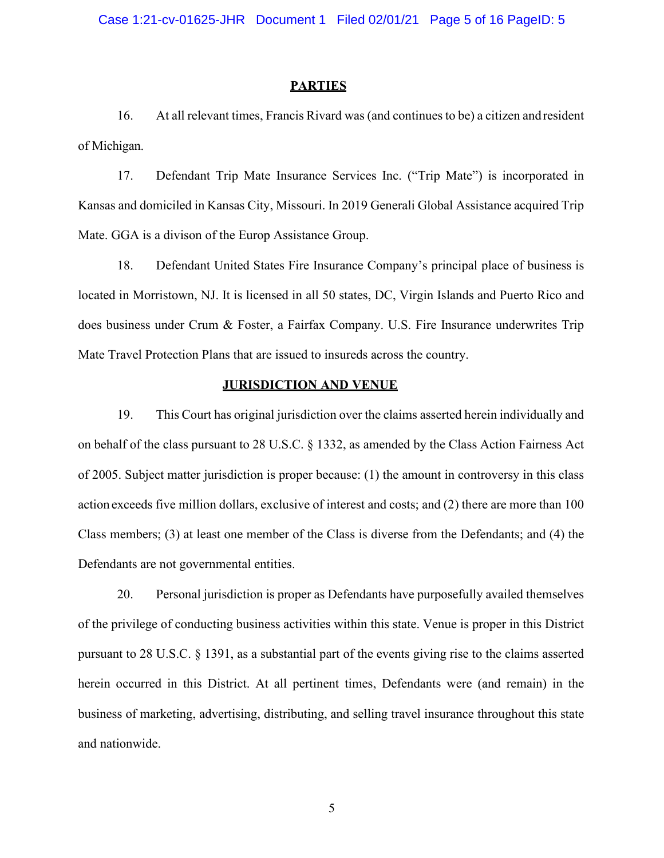### **PARTIES**

16. At all relevant times, Francis Rivard was (and continues to be) a citizen andresident of Michigan.

17. Defendant Trip Mate Insurance Services Inc. ("Trip Mate") is incorporated in Kansas and domiciled in Kansas City, Missouri. In 2019 Generali Global Assistance acquired Trip Mate. GGA is a divison of the Europ Assistance Group.

18. Defendant United States Fire Insurance Company's principal place of business is located in Morristown, NJ. It is licensed in all 50 states, DC, Virgin Islands and Puerto Rico and does business under Crum & Foster, a Fairfax Company. U.S. Fire Insurance underwrites Trip Mate Travel Protection Plans that are issued to insureds across the country.

# **JURISDICTION AND VENUE**

19. This Court has original jurisdiction over the claims asserted herein individually and on behalf of the class pursuant to 28 U.S.C. § 1332, as amended by the Class Action Fairness Act of 2005. Subject matter jurisdiction is proper because: (1) the amount in controversy in this class action exceeds five million dollars, exclusive of interest and costs; and (2) there are more than 100 Class members; (3) at least one member of the Class is diverse from the Defendants; and (4) the Defendants are not governmental entities.

20. Personal jurisdiction is proper as Defendants have purposefully availed themselves of the privilege of conducting business activities within this state. Venue is proper in this District pursuant to 28 U.S.C. § 1391, as a substantial part of the events giving rise to the claims asserted herein occurred in this District. At all pertinent times, Defendants were (and remain) in the business of marketing, advertising, distributing, and selling travel insurance throughout this state and nationwide.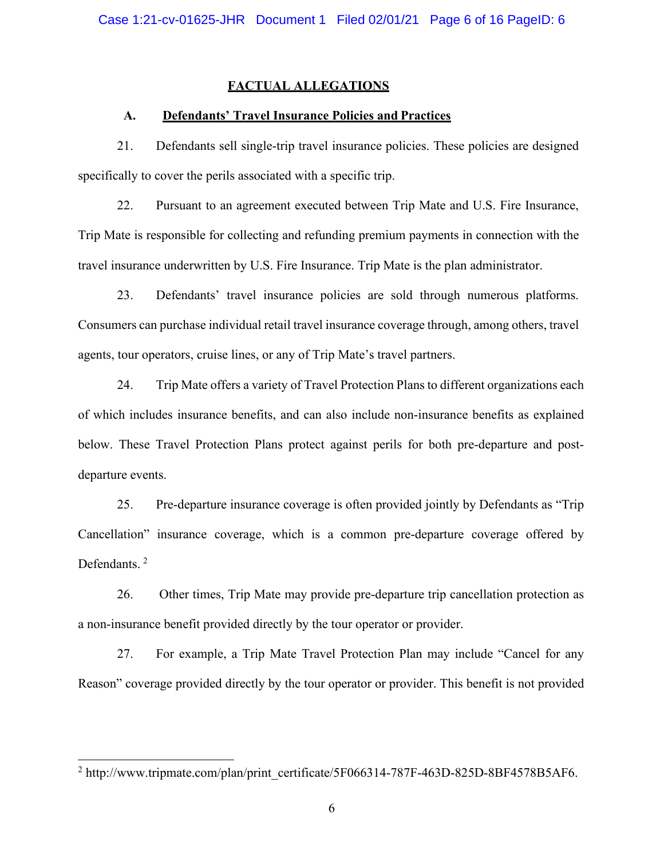# **FACTUAL ALLEGATIONS**

# **A. Defendants' Travel Insurance Policies and Practices**

21. Defendants sell single-trip travel insurance policies. These policies are designed specifically to cover the perils associated with a specific trip.

22. Pursuant to an agreement executed between Trip Mate and U.S. Fire Insurance, Trip Mate is responsible for collecting and refunding premium payments in connection with the travel insurance underwritten by U.S. Fire Insurance. Trip Mate is the plan administrator.

23. Defendants' travel insurance policies are sold through numerous platforms. Consumers can purchase individual retail travel insurance coverage through, among others, travel agents, tour operators, cruise lines, or any of Trip Mate's travel partners.

24. Trip Mate offers a variety of Travel Protection Plans to different organizations each of which includes insurance benefits, and can also include non-insurance benefits as explained below. These Travel Protection Plans protect against perils for both pre-departure and postdeparture events.

25. Pre-departure insurance coverage is often provided jointly by Defendants as "Trip Cancellation" insurance coverage, which is a common pre-departure coverage offered by Defendants.<sup>[2](#page-5-0)</sup>

26. Other times, Trip Mate may provide pre-departure trip cancellation protection as a non-insurance benefit provided directly by the tour operator or provider.

27. For example, a Trip Mate Travel Protection Plan may include "Cancel for any Reason" coverage provided directly by the tour operator or provider. This benefit is not provided

<span id="page-5-0"></span> $2 \text{ http://www.tripmate.com/plan/print}$  certificate/5F066314-787F-463D-825D-8BF4578B5AF6.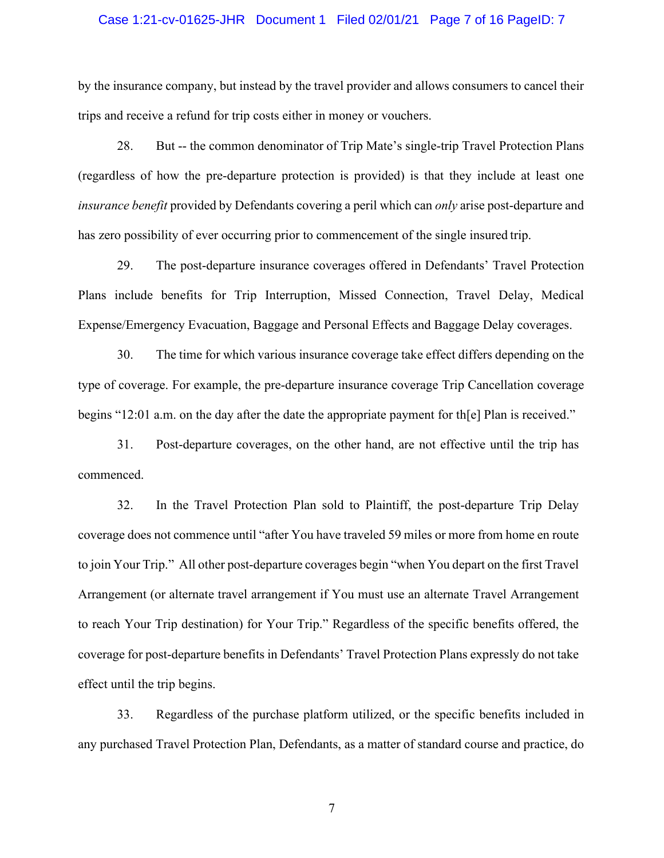### Case 1:21-cv-01625-JHR Document 1 Filed 02/01/21 Page 7 of 16 PageID: 7

by the insurance company, but instead by the travel provider and allows consumers to cancel their trips and receive a refund for trip costs either in money or vouchers.

28. But -- the common denominator of Trip Mate's single-trip Travel Protection Plans (regardless of how the pre-departure protection is provided) is that they include at least one *insurance benefit* provided by Defendants covering a peril which can *only* arise post-departure and has zero possibility of ever occurring prior to commencement of the single insured trip.

29. The post-departure insurance coverages offered in Defendants' Travel Protection Plans include benefits for Trip Interruption, Missed Connection, Travel Delay, Medical Expense/Emergency Evacuation, Baggage and Personal Effects and Baggage Delay coverages.

30. The time for which various insurance coverage take effect differs depending on the type of coverage. For example, the pre-departure insurance coverage Trip Cancellation coverage begins "12:01 a.m. on the day after the date the appropriate payment for th[e] Plan is received."

31. Post-departure coverages, on the other hand, are not effective until the trip has commenced.

32. In the Travel Protection Plan sold to Plaintiff, the post-departure Trip Delay coverage does not commence until "after You have traveled 59 miles or more from home en route to join Your Trip." All other post-departure coverages begin "when You depart on the first Travel Arrangement (or alternate travel arrangement if You must use an alternate Travel Arrangement to reach Your Trip destination) for Your Trip." Regardless of the specific benefits offered, the coverage for post-departure benefits in Defendants' Travel Protection Plans expressly do not take effect until the trip begins.

33. Regardless of the purchase platform utilized, or the specific benefits included in any purchased Travel Protection Plan, Defendants, as a matter of standard course and practice, do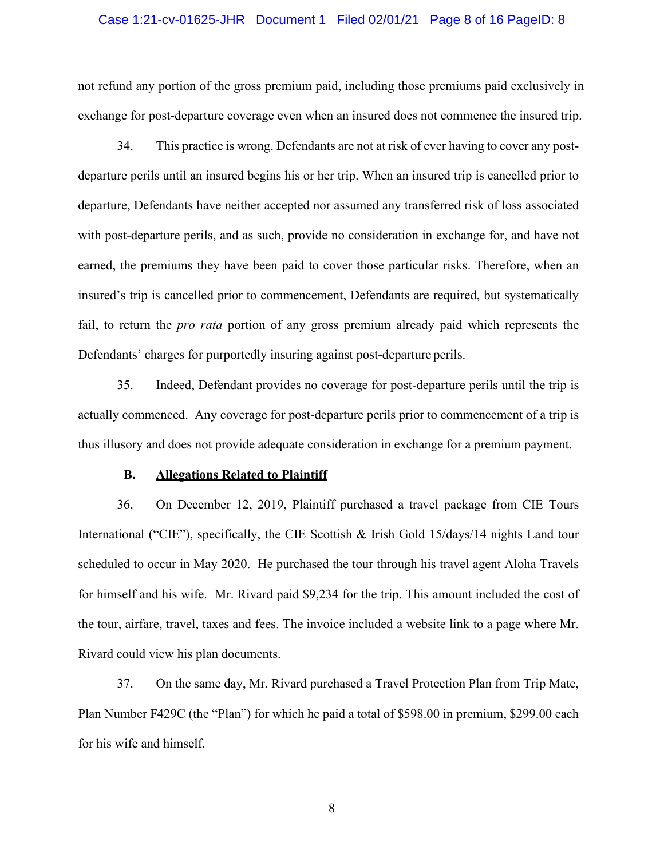### Case 1:21-cv-01625-JHR Document 1 Filed 02/01/21 Page 8 of 16 PageID: 8

not refund any portion of the gross premium paid, including those premiums paid exclusively in exchange for post-departure coverage even when an insured does not commence the insured trip.

34. This practice is wrong. Defendants are not at risk of ever having to cover any postdeparture perils until an insured begins his or her trip. When an insured trip is cancelled prior to departure, Defendants have neither accepted nor assumed any transferred risk of loss associated with post-departure perils, and as such, provide no consideration in exchange for, and have not earned, the premiums they have been paid to cover those particular risks. Therefore, when an insured's trip is cancelled prior to commencement, Defendants are required, but systematically fail, to return the *pro rata* portion of any gross premium already paid which represents the Defendants' charges for purportedly insuring against post-departure perils.

35. Indeed, Defendant provides no coverage for post-departure perils until the trip is actually commenced. Any coverage for post-departure perils prior to commencement of a trip is thus illusory and does not provide adequate consideration in exchange for a premium payment.

# **B. Allegations Related to Plaintiff**

36. On December 12, 2019, Plaintiff purchased a travel package from CIE Tours International ("CIE"), specifically, the CIE Scottish & Irish Gold 15/days/14 nights Land tour scheduled to occur in May 2020. He purchased the tour through his travel agent Aloha Travels for himself and his wife. Mr. Rivard paid \$9,234 for the trip. This amount included the cost of the tour, airfare, travel, taxes and fees. The invoice included a website link to a page where Mr. Rivard could view his plan documents.

37. On the same day, Mr. Rivard purchased a Travel Protection Plan from Trip Mate, Plan Number F429C (the "Plan") for which he paid a total of \$598.00 in premium, \$299.00 each for his wife and himself.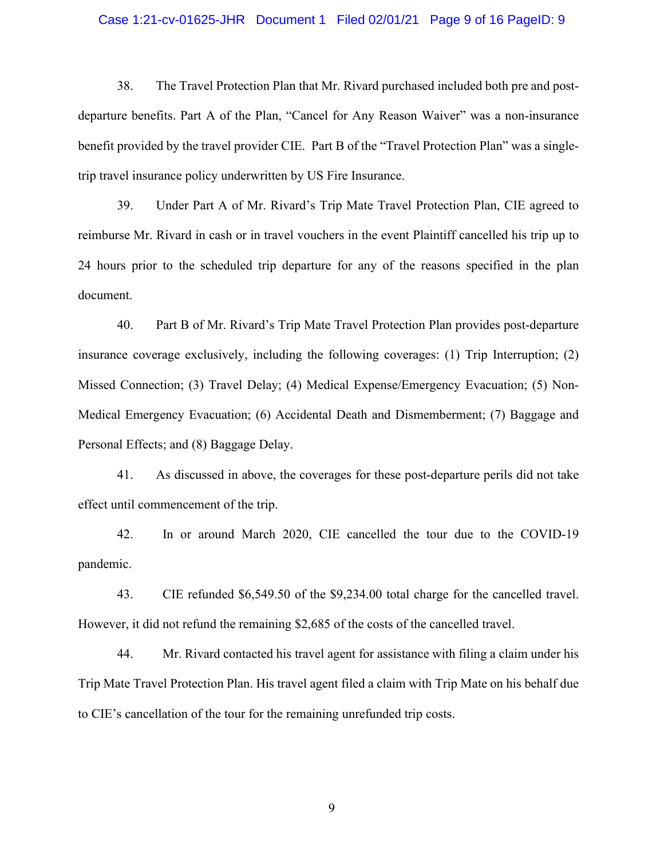# Case 1:21-cv-01625-JHR Document 1 Filed 02/01/21 Page 9 of 16 PageID: 9

38. The Travel Protection Plan that Mr. Rivard purchased included both pre and postdeparture benefits. Part A of the Plan, "Cancel for Any Reason Waiver" was a non-insurance benefit provided by the travel provider CIE. Part B of the "Travel Protection Plan" was a singletrip travel insurance policy underwritten by US Fire Insurance.

39. Under Part A of Mr. Rivard's Trip Mate Travel Protection Plan, CIE agreed to reimburse Mr. Rivard in cash or in travel vouchers in the event Plaintiff cancelled his trip up to 24 hours prior to the scheduled trip departure for any of the reasons specified in the plan document.

40. Part B of Mr. Rivard's Trip Mate Travel Protection Plan provides post-departure insurance coverage exclusively, including the following coverages: (1) Trip Interruption; (2) Missed Connection; (3) Travel Delay; (4) Medical Expense/Emergency Evacuation; (5) Non-Medical Emergency Evacuation; (6) Accidental Death and Dismemberment; (7) Baggage and Personal Effects; and (8) Baggage Delay.

41. As discussed in above, the coverages for these post-departure perils did not take effect until commencement of the trip.

42. In or around March 2020, CIE cancelled the tour due to the COVID-19 pandemic.

43. CIE refunded \$6,549.50 of the \$9,234.00 total charge for the cancelled travel. However, it did not refund the remaining \$2,685 of the costs of the cancelled travel.

44. Mr. Rivard contacted his travel agent for assistance with filing a claim under his Trip Mate Travel Protection Plan. His travel agent filed a claim with Trip Mate on his behalf due to CIE's cancellation of the tour for the remaining unrefunded trip costs.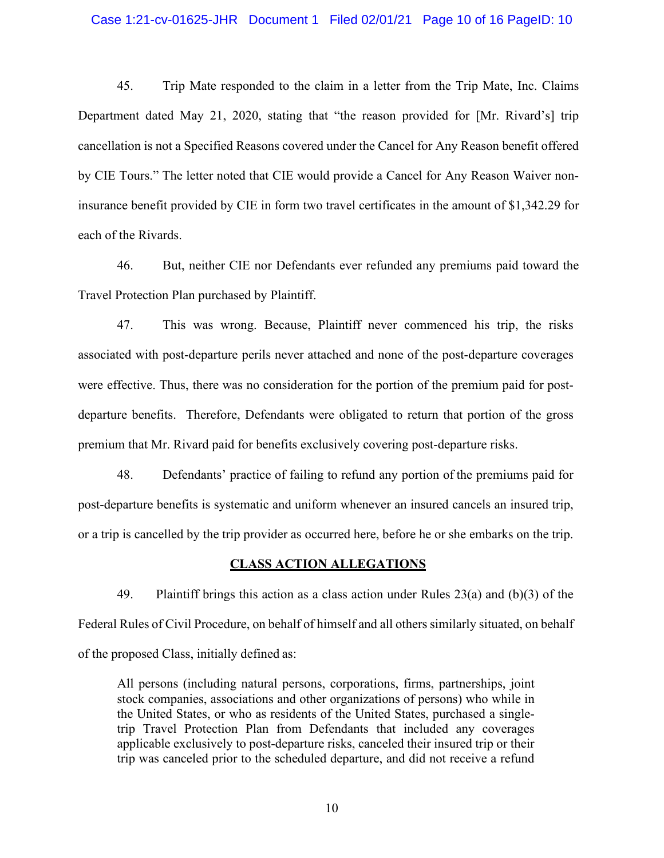### Case 1:21-cv-01625-JHR Document 1 Filed 02/01/21 Page 10 of 16 PageID: 10

45. Trip Mate responded to the claim in a letter from the Trip Mate, Inc. Claims Department dated May 21, 2020, stating that "the reason provided for [Mr. Rivard's] trip cancellation is not a Specified Reasons covered under the Cancel for Any Reason benefit offered by CIE Tours." The letter noted that CIE would provide a Cancel for Any Reason Waiver noninsurance benefit provided by CIE in form two travel certificates in the amount of \$1,342.29 for each of the Rivards.

46. But, neither CIE nor Defendants ever refunded any premiums paid toward the Travel Protection Plan purchased by Plaintiff.

47. This was wrong. Because, Plaintiff never commenced his trip, the risks associated with post-departure perils never attached and none of the post-departure coverages were effective. Thus, there was no consideration for the portion of the premium paid for postdeparture benefits. Therefore, Defendants were obligated to return that portion of the gross premium that Mr. Rivard paid for benefits exclusively covering post-departure risks.

48. Defendants' practice of failing to refund any portion of the premiums paid for post-departure benefits is systematic and uniform whenever an insured cancels an insured trip, or a trip is cancelled by the trip provider as occurred here, before he or she embarks on the trip.

# **CLASS ACTION ALLEGATIONS**

49. Plaintiff brings this action as a class action under Rules 23(a) and (b)(3) of the Federal Rules of Civil Procedure, on behalf of himself and all others similarly situated, on behalf of the proposed Class, initially defined as:

All persons (including natural persons, corporations, firms, partnerships, joint stock companies, associations and other organizations of persons) who while in the United States, or who as residents of the United States, purchased a singletrip Travel Protection Plan from Defendants that included any coverages applicable exclusively to post-departure risks, canceled their insured trip or their trip was canceled prior to the scheduled departure, and did not receive a refund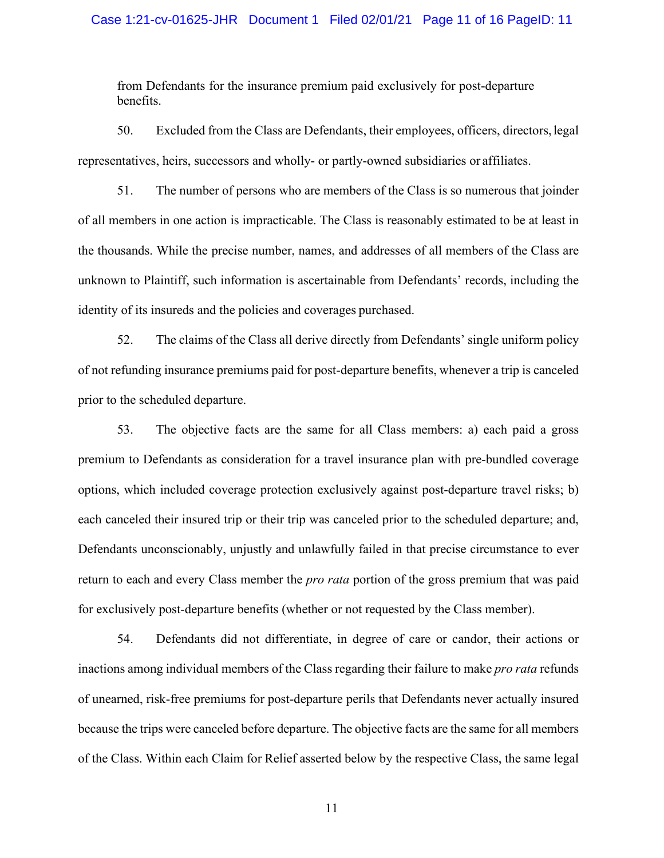# Case 1:21-cv-01625-JHR Document 1 Filed 02/01/21 Page 11 of 16 PageID: 11

from Defendants for the insurance premium paid exclusively for post-departure benefits.

50. Excluded from the Class are Defendants, their employees, officers, directors,legal representatives, heirs, successors and wholly- or partly-owned subsidiaries or affiliates.

51. The number of persons who are members of the Class is so numerous that joinder of all members in one action is impracticable. The Class is reasonably estimated to be at least in the thousands. While the precise number, names, and addresses of all members of the Class are unknown to Plaintiff, such information is ascertainable from Defendants' records, including the identity of its insureds and the policies and coverages purchased.

52. The claims of the Class all derive directly from Defendants' single uniform policy of not refunding insurance premiums paid for post-departure benefits, whenever a trip is canceled prior to the scheduled departure.

53. The objective facts are the same for all Class members: a) each paid a gross premium to Defendants as consideration for a travel insurance plan with pre-bundled coverage options, which included coverage protection exclusively against post-departure travel risks; b) each canceled their insured trip or their trip was canceled prior to the scheduled departure; and, Defendants unconscionably, unjustly and unlawfully failed in that precise circumstance to ever return to each and every Class member the *pro rata* portion of the gross premium that was paid for exclusively post-departure benefits (whether or not requested by the Class member).

54. Defendants did not differentiate, in degree of care or candor, their actions or inactions among individual members of the Class regarding their failure to make *pro rata* refunds of unearned, risk-free premiums for post-departure perils that Defendants never actually insured because the trips were canceled before departure. The objective facts are the same for all members of the Class. Within each Claim for Relief asserted below by the respective Class, the same legal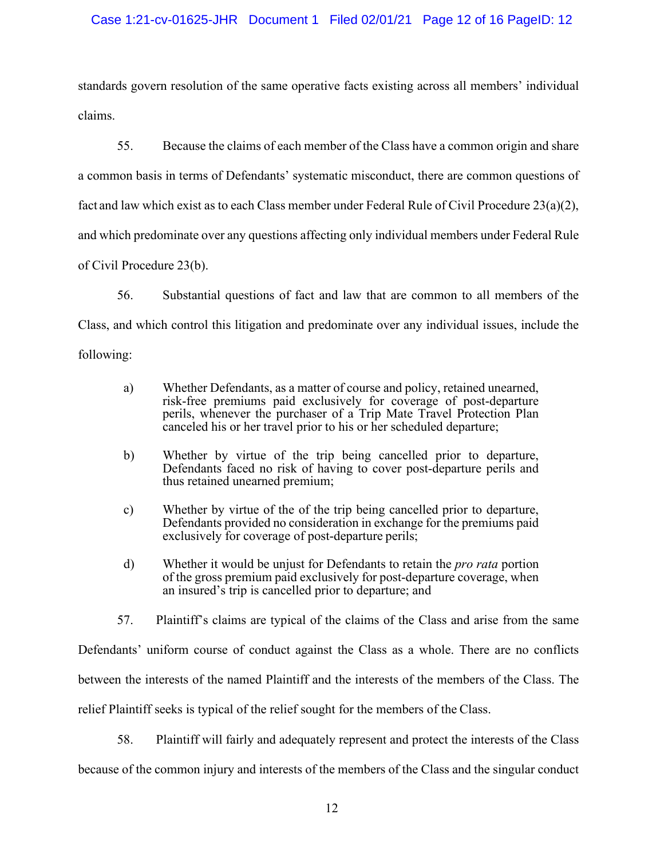# Case 1:21-cv-01625-JHR Document 1 Filed 02/01/21 Page 12 of 16 PageID: 12

standards govern resolution of the same operative facts existing across all members' individual claims.

55. Because the claims of each member of the Class have a common origin and share a common basis in terms of Defendants' systematic misconduct, there are common questions of fact and law which exist as to each Class member under Federal Rule of Civil Procedure 23(a)(2), and which predominate over any questions affecting only individual members under Federal Rule of Civil Procedure 23(b).

56. Substantial questions of fact and law that are common to all members of the Class, and which control this litigation and predominate over any individual issues, include the following:

- a) Whether Defendants, as a matter of course and policy, retained unearned, risk-free premiums paid exclusively for coverage of post-departure perils, whenever the purchaser of a Trip Mate Travel Protection Plan canceled his or her travel prior to his or her scheduled departure;
- b) Whether by virtue of the trip being cancelled prior to departure, Defendants faced no risk of having to cover post-departure perils and thus retained unearned premium;
- c) Whether by virtue of the of the trip being cancelled prior to departure, Defendants provided no consideration in exchange for the premiums paid exclusively for coverage of post-departure perils;
- d) Whether it would be unjust for Defendants to retain the *pro rata* portion of the gross premium paid exclusively for post-departure coverage, when an insured's trip is cancelled prior to departure; and
- 57. Plaintiff's claims are typical of the claims of the Class and arise from the same

Defendants' uniform course of conduct against the Class as a whole. There are no conflicts between the interests of the named Plaintiff and the interests of the members of the Class. The relief Plaintiff seeks is typical of the relief sought for the members of the Class.

58. Plaintiff will fairly and adequately represent and protect the interests of the Class

because of the common injury and interests of the members of the Class and the singular conduct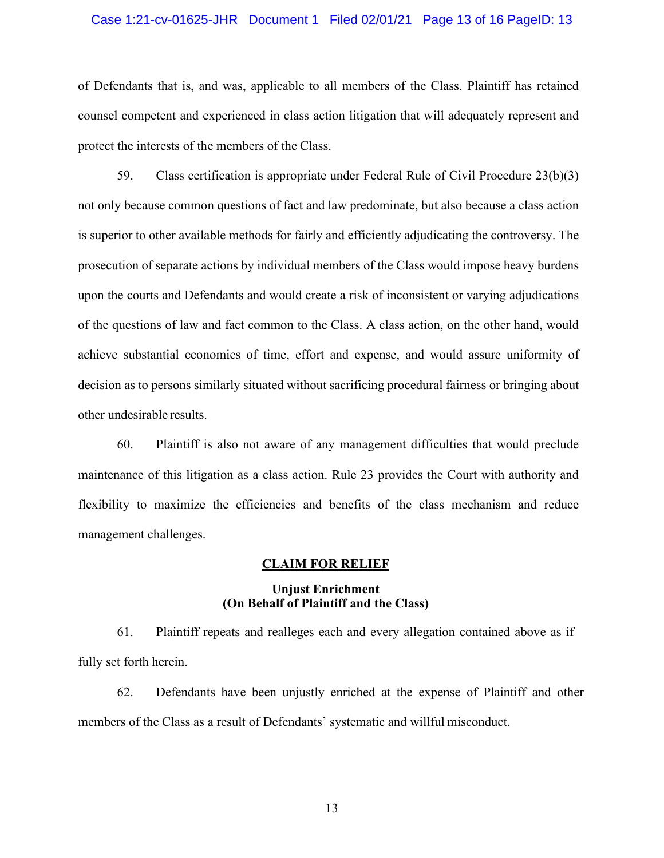# Case 1:21-cv-01625-JHR Document 1 Filed 02/01/21 Page 13 of 16 PageID: 13

of Defendants that is, and was, applicable to all members of the Class. Plaintiff has retained counsel competent and experienced in class action litigation that will adequately represent and protect the interests of the members of the Class.

59. Class certification is appropriate under Federal Rule of Civil Procedure 23(b)(3) not only because common questions of fact and law predominate, but also because a class action is superior to other available methods for fairly and efficiently adjudicating the controversy. The prosecution of separate actions by individual members of the Class would impose heavy burdens upon the courts and Defendants and would create a risk of inconsistent or varying adjudications of the questions of law and fact common to the Class. A class action, on the other hand, would achieve substantial economies of time, effort and expense, and would assure uniformity of decision as to persons similarly situated without sacrificing procedural fairness or bringing about other undesirable results.

60. Plaintiff is also not aware of any management difficulties that would preclude maintenance of this litigation as a class action. Rule 23 provides the Court with authority and flexibility to maximize the efficiencies and benefits of the class mechanism and reduce management challenges.

#### **CLAIM FOR RELIEF**

# **Unjust Enrichment (On Behalf of Plaintiff and the Class)**

61. Plaintiff repeats and realleges each and every allegation contained above as if fully set forth herein.

62. Defendants have been unjustly enriched at the expense of Plaintiff and other members of the Class as a result of Defendants' systematic and willful misconduct.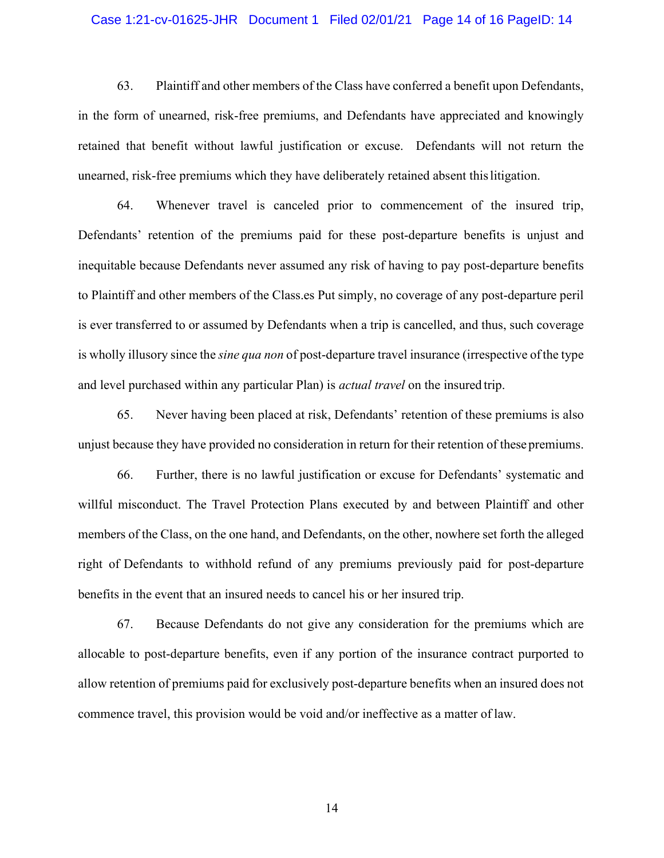#### Case 1:21-cv-01625-JHR Document 1 Filed 02/01/21 Page 14 of 16 PageID: 14

63. Plaintiff and other members of the Class have conferred a benefit upon Defendants, in the form of unearned, risk-free premiums, and Defendants have appreciated and knowingly retained that benefit without lawful justification or excuse. Defendants will not return the unearned, risk-free premiums which they have deliberately retained absent thislitigation.

64. Whenever travel is canceled prior to commencement of the insured trip, Defendants' retention of the premiums paid for these post-departure benefits is unjust and inequitable because Defendants never assumed any risk of having to pay post-departure benefits to Plaintiff and other members of the Class.es Put simply, no coverage of any post-departure peril is ever transferred to or assumed by Defendants when a trip is cancelled, and thus, such coverage is wholly illusory since the *sine qua non* of post-departure travel insurance (irrespective ofthe type and level purchased within any particular Plan) is *actual travel* on the insured trip.

65. Never having been placed at risk, Defendants' retention of these premiums is also unjust because they have provided no consideration in return for their retention of these premiums.

66. Further, there is no lawful justification or excuse for Defendants' systematic and willful misconduct. The Travel Protection Plans executed by and between Plaintiff and other members of the Class, on the one hand, and Defendants, on the other, nowhere set forth the alleged right of Defendants to withhold refund of any premiums previously paid for post-departure benefits in the event that an insured needs to cancel his or her insured trip.

67. Because Defendants do not give any consideration for the premiums which are allocable to post-departure benefits, even if any portion of the insurance contract purported to allow retention of premiums paid for exclusively post-departure benefits when an insured does not commence travel, this provision would be void and/or ineffective as a matter of law.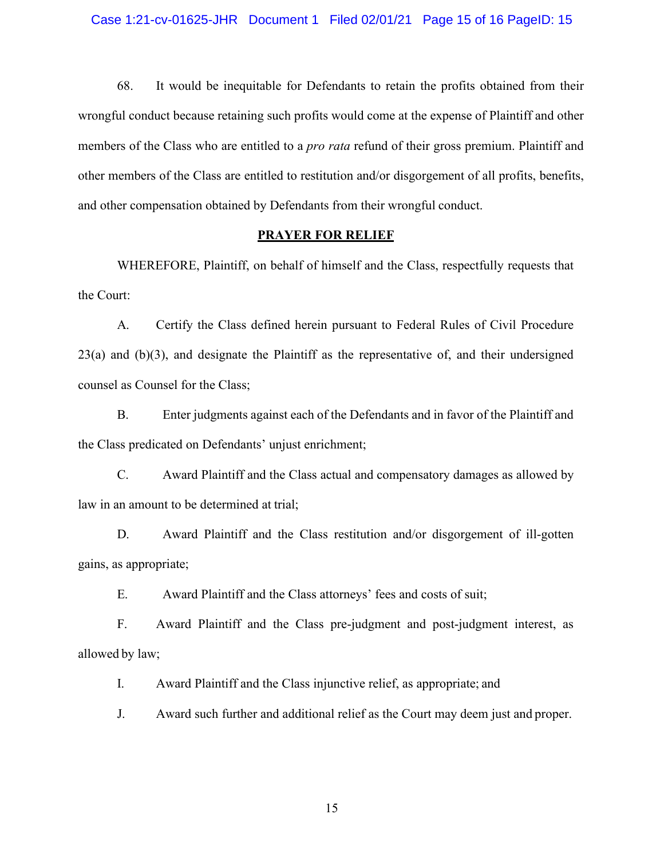68. It would be inequitable for Defendants to retain the profits obtained from their wrongful conduct because retaining such profits would come at the expense of Plaintiff and other members of the Class who are entitled to a *pro rata* refund of their gross premium. Plaintiff and other members of the Class are entitled to restitution and/or disgorgement of all profits, benefits, and other compensation obtained by Defendants from their wrongful conduct.

# **PRAYER FOR RELIEF**

WHEREFORE, Plaintiff, on behalf of himself and the Class, respectfully requests that the Court:

A. Certify the Class defined herein pursuant to Federal Rules of Civil Procedure 23(a) and (b)(3), and designate the Plaintiff as the representative of, and their undersigned counsel as Counsel for the Class;

B. Enter judgments against each of the Defendants and in favor of the Plaintiff and the Class predicated on Defendants' unjust enrichment;

C. Award Plaintiff and the Class actual and compensatory damages as allowed by law in an amount to be determined at trial;

D. Award Plaintiff and the Class restitution and/or disgorgement of ill-gotten gains, as appropriate;

E. Award Plaintiff and the Class attorneys' fees and costs of suit;

F. Award Plaintiff and the Class pre-judgment and post-judgment interest, as allowed by law;

I. Award Plaintiff and the Class injunctive relief, as appropriate; and

J. Award such further and additional relief as the Court may deem just and proper.